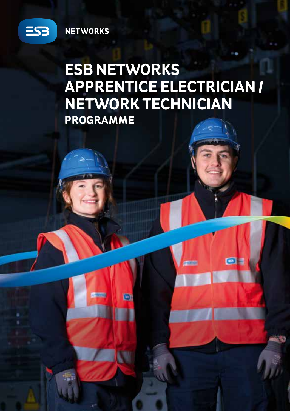

**NETWORKS** 

**成立** 

 $[6]$ 

## **ESB NETWORKS APPRENTICE ELECTRICIAN / NETWORK TECHNICIAN PROGRAMME**

 $\Box$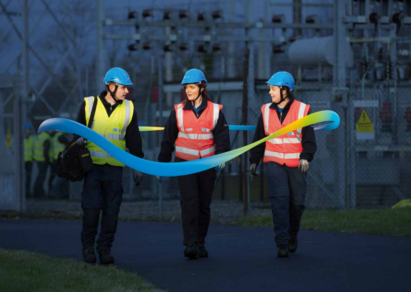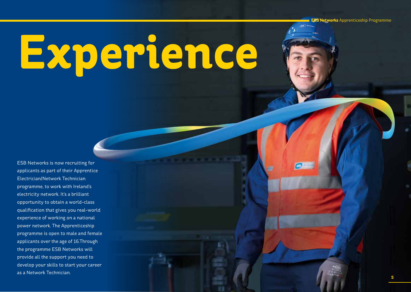**ESB Networks** Apprenticeship Programme

**For** 

# **Experience**

ESB Networks is now recruiting for applicants as part of their Apprentice Electrician/Network Technician programme, to work with Ireland's electricity network. It's a brilliant opportunity to obtain a world-class qualification that gives you real-world experience of working on a national power network. The Apprenticeship programme is open to male and female applicants over the age of 16.Through the programme ESB Networks will provide all the support you need to develop your skills to start your career as a Network Technician.

**4 5**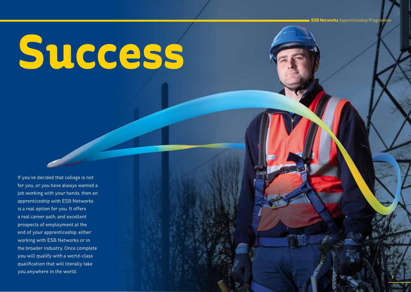**Success**

**6 7**

If you've decided that college is not for you, or you have always wanted a job working with your hands, then an apprenticeship with ESB Networks is a real option for you. It offers a real career path, and excellent prospects of employment at the end of your apprenticeship, either working with ESB Networks or in the broader industry. Once complete you will qualify with a world-class qualification that will literally take you anywhere in the world.

**ESB Networks** Apprenticeship Program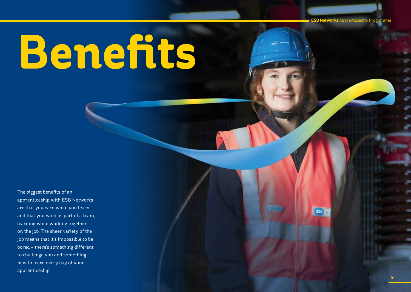**ESB Networks** Apprenticeship Programme

**FZE** 

## **Benefits**

The biggest benefits of an apprenticeship with ESB Networks are that you earn while you learn and that you work as part of a team, learning while working together on the job. The sheer variety of the job means that it's impossible to be bored – there's something different to challenge you and something new to learn every day of your apprenticeship.

**8 9**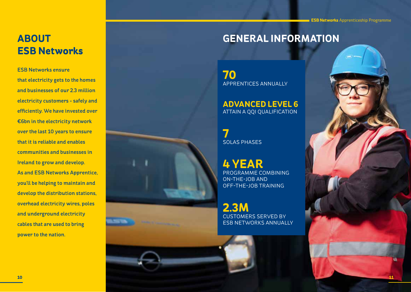## **ABOUT ESB Networks**

ESB Networks ensure that electricity gets to the homes and businesses of our 2.3 million electricity customers - safely and efficiently. We have invested over €6bn in the electricity network over the last 10 years to ensure that it is reliable and enables communities and businesses in Ireland to grow and develop. As and ESB Networks Apprentice, you'll be helping to maintain and develop the distribution stations, overhead electricity wires, poles and underground electricity cables that are used to bring power to the nation.

### **GENERAL INFORMATION**

**70** APPRENTICES ANNUALLY

#### **ADVANCED LEVEL 6** ATTAIN A QQI QUALIFICATION

**7**  SOLAS PHASES

### **4 YEAR**  PROGRAMME COMBINING

ON-THE-JOB AND OFF-THE-JOB TRAINING

**2.3M** CUSTOMERS SERVED BY ESB NETWORKS ANNUALLY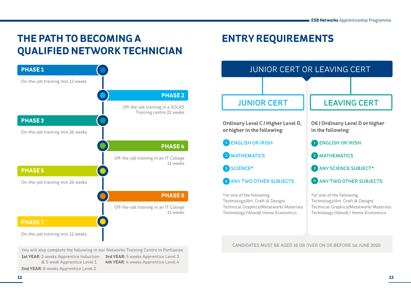## **THE PATH TO BECOMING A QUALIFIED NETWORK TECHNICIAN**



**4th YEAR:** 4 weeks Apprentice Level 4

**1st YEAR:** 2 weeks Apprentice Induction **3rd YEAR:** 5 weeks Apprentice Level 3 & 5 week Apprentice Level 1 **2nd YEAR:** 8 weeks Apprentice Level 2

## **ENTRY REQUIREMENTS**



CANDIDATES MUST BE AGED 16 OR OVER ON OR BEFORE 1st JUNE 2020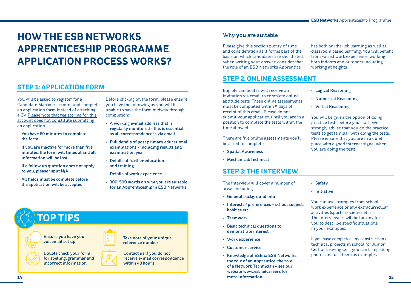## **HOW THE ESB NETWORKS APPRENTICESHIP PROGRAMME APPLICATION PROCESS WORKS?**

#### **STEP 1: APPLICATION FORM**

You will be asked to register for a Candidate Manager account and complete an application form instead of attaching a CV. Please note that registering for this account does not constitute submitting an application.

- You have 60 minutes to complete the form
- If you are inactive for more than five minutes, the form will timeout and all information will be lost
- If a follow up question does not apply to you, please input N/A
- All fields must be complete before the application will be accepted

Before clicking on the form, please ensure you have the following as you will be unable to save the form midway through completion:

- A working e-mail address that is regularly monitored - this is essential as all correspondence is via email
- Full details of post primary educational examinations - including results and examination year
- Details of further education and training
- Details of work experience
- 300-500 words on why you are suitable for an Apprenticeship in ESB Networks

Ensure you have your **TOP TIPS**

voicemail set up Double check your form

for spelling, grammar and incorrect information



Take note of your unique reference number

Contact us if you do not receive e-mail correspondence within 48 hours

#### Why you are suitable

Please give this section plenty of time and consideration as it forms part of the basis on which candidates are shortlisted. When writing your answer, consider that the role of an ESB Networks Apprentice

#### **STEP 2: ONLINE ASSESSMENT**

Eligible candidates will receive an invitation via email to complete online aptitude tests. These online assessments must be completed within 5 days of receipt of this email. Please do not submit your application until you are in a position to complete the tests within the time allowed.

There are five online assessments you'll be asked to complete:

- Spatial Awareness
- Mechanical/Technical

#### **STEP 3: THE INTERVIEW**

The interview will cover a number of areas including:

- General background info
- Interests / preferences school subject, hobbies etc.
- Teamwork
- Basic technical questions to demonstrate interest
- Work experience
- Customer service
- Knowledge of ESB & ESB Networks, the role of an Apprentice, the role of a Network Technician – see our website www.esb.ie/careers for more information **14 15**

has both on-the-job learning as well as classroom based learning. You will benefit from varied work experience, working both indoors and outdoors including working at heights.

- Logical Reasoning
- Numerical Reasoning
- Verbal Reasoning

You will be given the option of doing practice tests before you start. We strongly advise that you do the practice tests to get familiar with doing the tests. Please ensure that you are in a quiet place with a good internet signal when you are doing the tests.

- Safety
- Initiative

You can use examples from school, work experience or any extracurricular activities (sports, societies etc). The interviewers will be looking for you to describe specific situations in your examples.

If you have completed any construction / technical projects in school for Junior Cert or Leaving Cert you can bring along photos and use them as examples.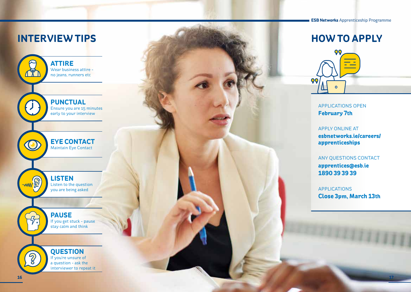



APPLICATIONS OPEN **February 7th**

APPLY ONLINE AT **esbnetworks.ie/careers/ apprenticeships**

ANY QUESTIONS CONTACT **apprentices@esb.ie 1890 39 39 39**

APPLICATIONS **Close 3pm, March 13th**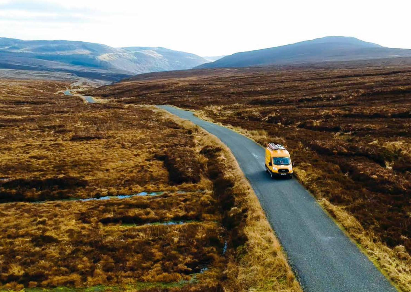